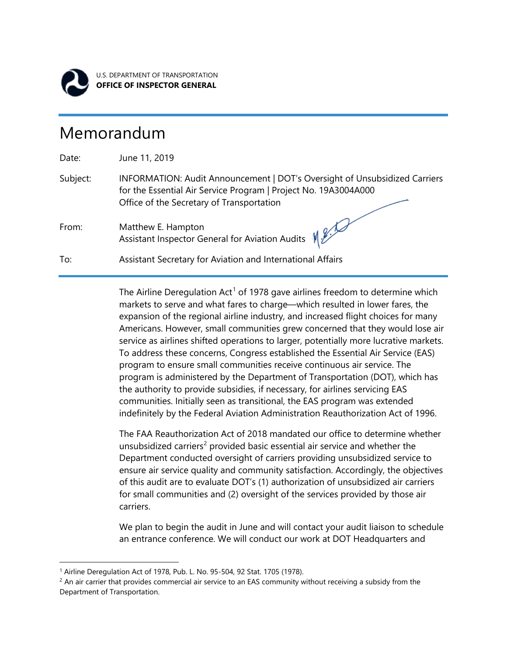

l

U.S. DEPARTMENT OF TRANSPORTATION **OFFICE OF INSPECTOR GENERAL**

## Memorandum

Date: June 11, 2019 Subject: INFORMATION: Audit Announcement | DOT's Oversight of Unsubsidized Carriers for the Essential Air Service Program | Project No. 19A3004A000 Office of the Secretary of Transportation From: Matthew E. Hampton Assistant Inspector General for Aviation Audits To: Assistant Secretary for Aviation and International Affairs

> The Airline Deregulation Act<sup>[1](#page-0-0)</sup> of 1978 gave airlines freedom to determine which markets to serve and what fares to charge—which resulted in lower fares, the expansion of the regional airline industry, and increased flight choices for many Americans. However, small communities grew concerned that they would lose air service as airlines shifted operations to larger, potentially more lucrative markets. To address these concerns, Congress established the Essential Air Service (EAS) program to ensure small communities receive continuous air service. The program is administered by the Department of Transportation (DOT), which has the authority to provide subsidies, if necessary, for airlines servicing EAS communities. Initially seen as transitional, the EAS program was extended indefinitely by the Federal Aviation Administration Reauthorization Act of 1996.

> The FAA Reauthorization Act of 2018 mandated our office to determine whether unsubsidized carriers<sup>[2](#page-0-1)</sup> provided basic essential air service and whether the Department conducted oversight of carriers providing unsubsidized service to ensure air service quality and community satisfaction. Accordingly, the objectives of this audit are to evaluate DOT's (1) authorization of unsubsidized air carriers for small communities and (2) oversight of the services provided by those air carriers.

> We plan to begin the audit in June and will contact your audit liaison to schedule an entrance conference. We will conduct our work at DOT Headquarters and

<span id="page-0-0"></span><sup>&</sup>lt;sup>1</sup> Airline Deregulation Act of 1978, Pub. L. No. 95-504, 92 Stat. 1705 (1978).

<span id="page-0-1"></span> $<sup>2</sup>$  An air carrier that provides commercial air service to an EAS community without receiving a subsidy from the</sup> Department of Transportation.